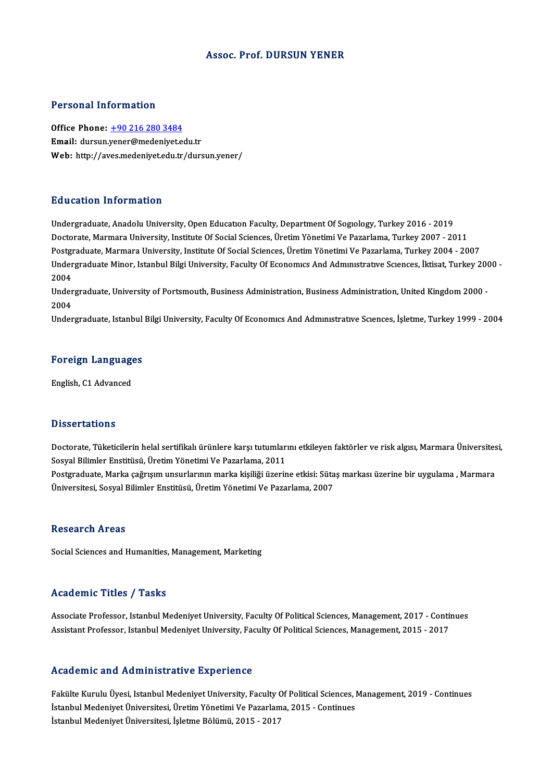#### Assoc. Prof. DURSUN YENER

#### Personal Information

Personal Information<br>Office Phone: <u>+90 216 280 3484</u><br>Email: dursun vener@medenivet.co Procedure Historical<br>Office Phone: <u>+90 216 280 3484</u><br>Email: dursun.[yener@medeniyet.e](tel:+90 216 280 3484)du.tr Email: dursun.yener@medeniyet.edu.tr<br>Web: http://aves.medeniyet.edu.tr/dursun.yener/

#### Education Information

Undergraduate, Anadolu University, Open Education Faculty, Department Of Sogiology, Turkey 2016 - 2019 Doctorate, Marmara University, Institute Of Social Sciences, Üretim Yönetimi Ve Pazarlama, Turkey 2007 - 2011 Undergraduate, Anadolu University, Open Education Faculty, Department Of Sogiology, Turkey 2016 - 2019<br>Doctorate, Marmara University, Institute Of Social Sciences, Üretim Yönetimi Ve Pazarlama, Turkey 2007 - 2011<br>Postgradu Doctorate, Marmara University, Institute Of Social Sciences, Üretim Yönetimi Ve Pazarlama, Turkey 2007 - 2011<br>Postgraduate, Marmara University, Institute Of Social Sciences, Üretim Yönetimi Ve Pazarlama, Turkey 2004 - 2007 Postgi<br>Under<br>2004<br>Under Undergraduate Minor, Istanbul Bilgi University, Faculty Of Economics And Administrative Sciences, İktisat, Turkey 2000 -<br>2004<br>Undergraduate, University of Portsmouth, Business Administration, Business Administration, Unite

Undergraduate, University of Portsmouth, Business Administration, Business Administration, United Kingdom 2000 -

Undergraduate, Istanbul Bilgi University, Faculty Of Economics And Administrative Sciences, İşletme, Turkey 1999 - 2004

## <sub>Undergraduate, istanbul</sub><br>Foreign Languages <mark>Foreign Language</mark><br>English, C1 Advanced

English, C1 Advanced<br>Dissertations

Dissertations<br>Doctorate, Tüketicilerin helal sertifikalı ürünlere karşı tutumlarını etkileyen faktörler ve risk algısı, Marmara Üniversitesi,<br>Sesvel Bilimler Enstitüsü, Ünetim Vönetimi Ve Bezerlema, 2011. Sosyal Bilimler Enstitüsü, Üretim Yönetimi Ve Pazarlama, 2011<br>Postgraduate, Marka çağrışım unsurlarının marka kişiliği üzerine etkisi: Sütaş markası üzerine bir uygulama , Marmara Doctorate, Tüketicilerin helal sertifikalı ürünlere karşı tutumlarını etkileyen faktörler ve risk algısı, Marmara Üniversites<br>Sosyal Bilimler Enstitüsü, Üretim Yönetimi Ve Pazarlama, 2011<br>Postgraduate, Marka çağrışım unsur Üniversitesi, Sosyal Bilimler Enstitüsü, Üretim Yönetimi Ve Pazarlama, 2007

#### Research Areas

Social Sciences and Humanities, Management, Marketing

#### Academic Titles / Tasks

Academic Titles / Tasks<br>Associate Professor, Istanbul Medeniyet University, Faculty Of Political Sciences, Management, 2017 - Continues<br>Assistant Professor, Istanbul Medeniyet University, Faculty Of Political Sciences, Man --caatonne-11d10 / 1 abhb<br>Associate Professor, Istanbul Medeniyet University, Faculty Of Political Sciences, Management, 2017 - Conti<br>Assistant Professor, Istanbul Medeniyet University, Faculty Of Political Sciences, Manag Assistant Professor, Istanbul Medeniyet University, Faculty Of Political Sciences, Management, 2015 - 2017<br>Academic and Administrative Experience

Academic and Administrative Experience<br>Fakülte Kurulu Üyesi, Istanbul Medeniyet University, Faculty Of Political Sciences, Management, 2019 - Continues<br>Istanbul Medeniyet Üniversitesi Üretim Vänetimi Ve Persrlama 2015 - Co Fakülte Kurulu Üyesi, Istanbul Medeniyet Üniversity, Faculty Of Political Sciences, I<br>İstanbul Medeniyet Üniversitesi, Üretim Yönetimi Ve Pazarlama, 2015 - Continues<br>İstanbul Medeniyet Üniversitesi, Üretime Pälümü, 2015 - Fakülte Kurulu Üyesi, Istanbul Medeniyet University, Faculty (<br>İstanbul Medeniyet Üniversitesi, Üretim Yönetimi Ve Pazarlam<br>İstanbul Medeniyet Üniversitesi, İşletme Bölümü, 2015 - 2017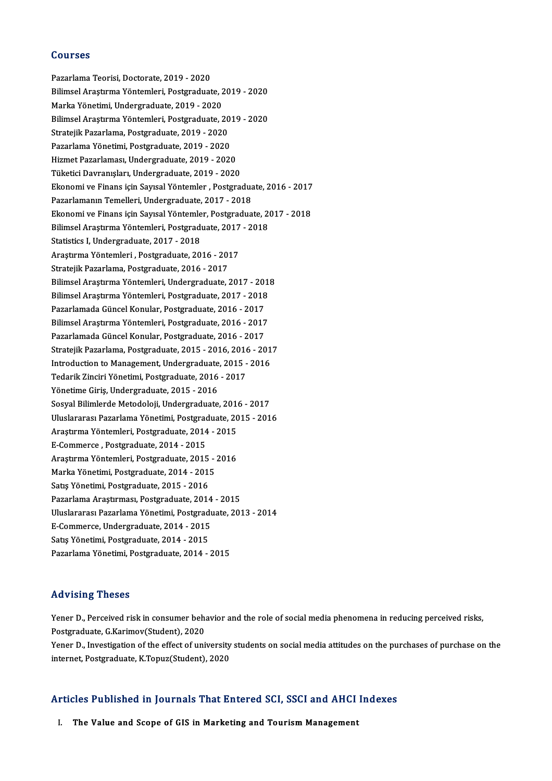#### Courses

Pazarlama Teorisi, Doctorate, 2019 - 2020 Sourses<br>Pazarlama Teorisi, Doctorate, 2019 - 2020<br>Bilimsel Araştırma Yöntemleri, Postgraduate, 2019 - 2020<br>Marka Vönetimi Undergraduate, 2019, 2020 Pazarlama Teorisi, Doctorate, 2019 - 2020<br>Bilimsel Araştırma Yöntemleri, Postgraduate, 2<br>Marka Yönetimi, Undergraduate, 2019 - 2020<br>Bilimsel Arastırma Yöntemleri, Bostgraduate, 2 Bilimsel Araştırma Yöntemleri, Postgraduate, 2019 - 2020<br>Marka Yönetimi, Undergraduate, 2019 - 2020<br>Bilimsel Araştırma Yöntemleri, Postgraduate, 2019 - 2020<br>Strateill: Pagarlama, Postgraduate, 2019, 2020 Marka Yönetimi, Undergraduate, 2019 - 2020<br>Bilimsel Araştırma Yöntemleri, Postgraduate, 20<br>Stratejik Pazarlama, Postgraduate, 2019 - 2020<br>Pazarlama Yönetimi, Postgraduate, 2019 - 2020 Bilimsel Araştırma Yöntemleri, Postgraduate, 2019<br>Stratejik Pazarlama, Postgraduate, 2019 - 2020<br>Pazarlama Yönetimi, Postgraduate, 2019 - 2020<br>Hirmet Bazarlaması, Undergraduate, 2019 - 2020 Stratejik Pazarlama, Postgraduate, 2019 - 2020<br>Pazarlama Yönetimi, Postgraduate, 2019 - 2020<br>Hizmet Pazarlaması, Undergraduate, 2019 - 2020<br>Tüketisi Deuronyalan, Undergraduate, 2019 - 2020 Pazarlama Yönetimi, Postgraduate, 2019 - 2020<br>Hizmet Pazarlaması, Undergraduate, 2019 - 2020<br>Tüketici Davranışları, Undergraduate, 2019 - 2020<br>Ekanomi ve Finans isin Savral Yöntemler, Bestare Hizmet Pazarlaması, Undergraduate, 2019 - 2020<br>Tüketici Davranışları, Undergraduate, 2019 - 2020<br>Ekonomi ve Finans için Sayısal Yöntemler , Postgraduate, 2016 - 2017<br>Pazarlamanın Tamellari, Undergraduate, 2017 - 2019 Tüketici Davranışları, Undergraduate, 2019 - 2020<br>Ekonomi ve Finans için Sayısal Yöntemler , Postgradua<br>Pazarlamanın Temelleri, Undergraduate, 2017 - 2018<br>Ekonomi ve Finans isin Sayısal Yöntemler, Postgradua Ekonomi ve Finans için Sayısal Yöntemler , Postgraduate, 2016 - 2017<br>Pazarlamanın Temelleri, Undergraduate, 2017 - 2018<br>Ekonomi ve Finans için Sayısal Yöntemler, Postgraduate, 2017 - 2018<br>Bilimsel Arastırma Yöntemleri, Bos Pazarlamanın Temelleri, Undergraduate, 2017 - 2018<br>Ekonomi ve Finans için Sayısal Yöntemler, Postgraduate, 20<br>Bilimsel Araştırma Yöntemleri, Postgraduate, 2017 - 2018<br>Statistics LUndergraduate, 2017 - 2019 Ekonomi ve Finans için Sayısal Yöntemle<br>Bilimsel Araştırma Yöntemleri, Postgradı<br>Statistics I, Undergraduate, 2017 - 2018<br>Arastırma Yöntemleri, Bostgraduate, 20 Bilimsel Araştırma Yöntemleri, Postgraduate, 2017<br>Statistics I, Undergraduate, 2017 - 2018<br>Araştırma Yöntemleri , Postgraduate, 2016 - 2017<br>Stratejik Pagarlama, Postgraduate, 2016 - 2017 Statistics I, Undergraduate, 2017 - 2018<br>Araştırma Yöntemleri , Postgraduate, 2016 - 2017<br>Stratejik Pazarlama, Postgraduate, 2016 - 2017 Araştırma Yöntemleri , Postgraduate, 2016 - 2017<br>Stratejik Pazarlama, Postgraduate, 2016 - 2017<br>Bilimsel Araştırma Yöntemleri, Undergraduate, 2017 - 2018<br>Bilimsel Arastırma Yöntemleri, Dostgraduate, 2017 - 2018 Stratejik Pazarlama, Postgraduate, 2016 - 2017<br>Bilimsel Araştırma Yöntemleri, Undergraduate, 2017 - 2018<br>Bilimsel Araştırma Yöntemleri, Postgraduate, 2017 - 2018<br>Pazarlamada Günsel Kapular, Bostgraduate, 2016 - 2017 Bilimsel Araştırma Yöntemleri, Undergraduate, 2017 - 2018<br>Bilimsel Araştırma Yöntemleri, Postgraduate, 2017 - 2018<br>Pazarlamada Güncel Konular, Postgraduate, 2016 - 2017<br>Bilimsel Arastırma Yöntemleri, Postgraduate, 2016 - 2 Bilimsel Araştırma Yöntemleri, Postgraduate, 2017 - 2018<br>Pazarlamada Güncel Konular, Postgraduate, 2016 - 2017<br>Bilimsel Araştırma Yöntemleri, Postgraduate, 2016 - 2017<br>Pazarlamada Güncel Konular, Bostgraduate, 2016 - 2017 Pazarlamada Güncel Konular, Postgraduate, 2016 - 2017<br>Bilimsel Araştırma Yöntemleri, Postgraduate, 2016 - 2017<br>Pazarlamada Güncel Konular, Postgraduate, 2016 - 2017<br>Strateill: Pazarlama, Postgraduate, 2015 - 2016 - 20 Bilimsel Araştırma Yöntemleri, Postgraduate, 2016 - 2017<br>Pazarlamada Güncel Konular, Postgraduate, 2016 - 2017<br>Stratejik Pazarlama, Postgraduate, 2015 - 2016, 2016 - 2017<br>Introduation to Manasament, Undergraduate, 2015 - 2 Pazarlamada Güncel Konular, Postgraduate, 2016 - 2017<br>Stratejik Pazarlama, Postgraduate, 2015 - 2016, 2016 - 201<br>Introduction to Management, Undergraduate, 2015 - 2016<br>Tederik Zinsiri Vönetimi, Postsraduate, 2016 - 2017 Stratejik Pazarlama, Postgraduate, 2015 - 2016, 2016<br>Introduction to Management, Undergraduate, 2015 -<br>Tedarik Zinciri Yönetimi, Postgraduate, 2016 - 2017<br>Vänetime Ciris Undergraduate, 2015 - 2016 Introduction to Management, Undergraduate, 2015 - 2016<br>Tedarik Zinciri Yönetimi, Postgraduate, 2016 - 2017<br>Yönetime Giriş, Undergraduate, 2015 - 2016 Sosyal Bilimlerde Metodoloji, Undergraduate, 2016 - 2017 Uluslararası Pazarlama Yönetimi, Postgraduate, 2015 - 2016 Sosyal Bilimlerde Metodoloji, Undergraduate, 201<br>Uluslararası Pazarlama Yönetimi, Postgraduate, 20<br>Araştırma Yöntemleri, Postgraduate, 2014 - 2015<br>E Commerce, Bostgraduate, 2014, 2015 Uluslararası Pazarlama Yönetimi, Postgrad<br>Araştırma Yöntemleri, Postgraduate, 2014<br>E-Commerce , Postgraduate, 2014 - 2015<br>Arastırma Yöntemleri, Bostgraduate, 2015 Araştırma Yöntemleri, Postgraduate, 2014 - 2015<br>E-Commerce , Postgraduate, 2014 - 2015<br>Araştırma Yöntemleri, Postgraduate, 2015 - 2016<br>Marka Yönetimi, Postgraduate, 2014 - 2015 E-Commerce , Postgraduate, 2014 - 2015<br>Araștırma Yöntemleri, Postgraduate, 2015 - <br>Marka Yönetimi, Postgraduate, 2014 - 2015<br>Sete Vönetimi, Postgraduate, 2015 - 2016 Araştırma Yöntemleri, Postgraduate, 2015<br>Marka Yönetimi, Postgraduate, 2014 - 2019<br>Satış Yönetimi, Postgraduate, 2015 - 2016<br>Pararlama Arastırması, Postgraduate, 2016 Satış Yönetimi, Postgraduate, 2015 - 2016<br>Pazarlama Araştırması, Postgraduate, 2014 - 2015 Satış Yönetimi, Postgraduate, 2015 - 2016<br>Pazarlama Araştırması, Postgraduate, 2014 - 2015<br>Uluslararası Pazarlama Yönetimi, Postgraduate, 2013 - 2014<br>E Commerge Undergraduate, 2014 - 2015 Pazarlama Araştırması, Postgraduate, 2014<br>Uluslararası Pazarlama Yönetimi, Postgradı<br>E-Commerce, Undergraduate, 2014 - 2015<br>Satıs Yönetimi, Bostanaduate, 2014 - 2015 Uluslararası Pazarlama Yönetimi, Postgrad<br>E-Commerce, Undergraduate, 2014 - 2015<br>Satış Yönetimi, Postgraduate, 2014 - 2015<br>Pazarlama Yönetimi, Postgraduate, 2014 E-Commerce, Undergraduate, 2014 - 2015<br>Satış Yönetimi, Postgraduate, 2014 - 2015<br>Pazarlama Yönetimi, Postgraduate, 2014 - 2015

#### Advising Theses

Advising Theses<br>Yener D., Perceived risk in consumer behavior and the role of social media phenomena in reducing perceived risks,<br>Pestanaduate *C Karimov(Student),* 2020 rea viology<br>1998 - Yener D., Perceived risk in consumer beha<br>Postgraduate, G.Karimov(Student), 2020<br>Yener D., Investigation of the effect of uni Yener D., Perceived risk in consumer behavior and the role of social media phenomena in reducing perceived risks,<br>Postgraduate, G.Karimov(Student), 2020<br>Yener D., Investigation of the effect of university students on socia Postgraduate, G.Karimov(Student), 2020<br>Yener D., Investigation of the effect of university students on social media attitudes on the purchases of purchase on the<br>internet, Postgraduate, K.Topuz(Student), 2020

## mernet, Postgraduate, K.10puz(Student), 2020<br>Articles Published in Journals That Entered SCI, SSCI and AHCI Indexes rticles Published in Journals That Entered SCI, SSCI and AHCI<br>I. The Value and Scope of GIS in Marketing and Tourism Management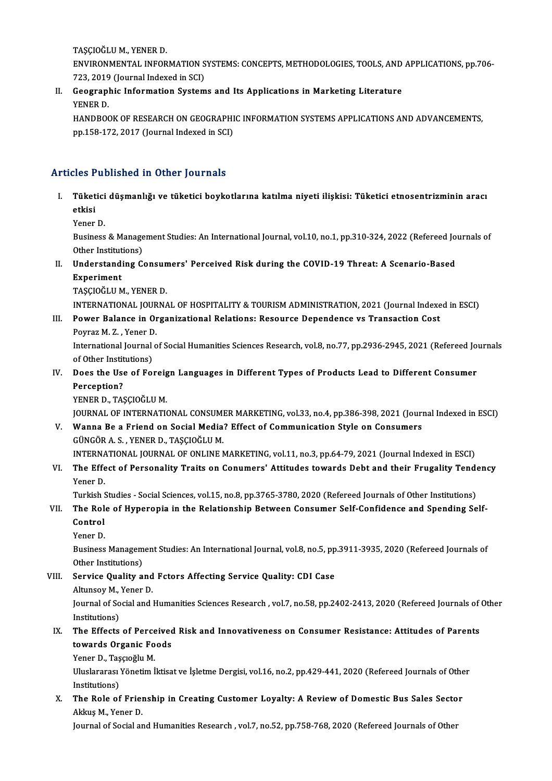TAŞÇIOĞLUM.,YENERD.

TAȘÇIOĞLU M., YENER D.<br>ENVIRONMENTAL INFORMATION SYSTEMS: CONCEPTS, METHODOLOGIES, TOOLS, AND APPLICATIONS, pp.706-<br>722-2010 (Jaunnal Indoved in SCD TAŞÇIOĞLU M., YENER D.<br>ENVIRONMENTAL INFORMATION S<br>723, 2019 (Journal Indexed in SCI)<br>Coographie Information System ENVIRONMENTAL INFORMATION SYSTEMS: CONCEPTS, METHODOLOGIES, TOOLS, AND<br>723, 2019 (Journal Indexed in SCI)<br>II. Geographic Information Systems and Its Applications in Marketing Literature<br>VENER D

723, 2019<br>Geograpl<br>YENER D.<br>HANDROG Geographic Information Systems and Its Applications in Marketing Literature<br>YENER D.<br>HANDBOOK OF RESEARCH ON GEOGRAPHIC INFORMATION SYSTEMS APPLICATIONS AND ADVANCEMENTS,<br>nn 159 172 2017 (Journal Indoved in SCD)

YENER D.<br>HANDBOOK OF RESEARCH ON GEOGRAPHI<br>pp.158-172, 2017 (Journal Indexed in SCI)

# pp.158-172, 2017 (Journal Indexed in SCI)<br>Articles Published in Other Journals

rticles Published in Other Journals<br>I. Tüketici düşmanlığı ve tüketici boykotlarına katılma niyeti ilişkisi: Tüketici etnosentrizminin aracı<br>etkisi res<br>Tüket<br><sup>Vonor</sup> <mark>Tüketici</mark><br>etkisi<br>Yener D.

etkisi<br>Yener D.<br>Business & Management Studies: An International Journal, vol.10, no.1, pp.310-324, 2022 (Refereed Journals of<br>Other Institutions) Yener D.<br>Business & Manage<br>Other Institutions)<br>Understanding G Business & Management Studies: An International Journal, vol.10, no.1, pp.310-324, 2022 (Refereed Jo<br>Other Institutions)<br>II. Understanding Consumers' Perceived Risk during the COVID-19 Threat: A Scenario-Based<br>Funcriment

Other Institut<br>Understand<br>Experiment<br>TASCIOČI U M Understanding Consun<br>Experiment<br>TAŞÇIOĞLU M., YENER D.<br>INTERNATIONAL JOURNA

Experiment<br>TAŞÇIOĞLU M., YENER D.<br>INTERNATIONAL JOURNAL OF HOSPITALITY & TOURISM ADMINISTRATION, 2021 (Journal Indexed in ESCI)

## TAȘÇIOĞLU M., YENER D.<br>INTERNATIONAL JOURNAL OF HOSPITALITY & TOURISM ADMINISTRATION, 2021 (Journal Indexe<br>III. Power Balance in Organizational Relations: Resource Dependence vs Transaction Cost<br>Power M. 7 . Yoner D. INTERNATIONAL JOUR<br>Power Balance in Or<br>Poyraz M. Z. , Yener D.<br>International Journal o

Power Balance in Organizational Relations: Resource Dependence vs Transaction Cost<br>Poyraz M. Z. , Yener D.<br>International Journal of Social Humanities Sciences Research, vol.8, no.77, pp.2936-2945, 2021 (Refereed Journals<br>o Poyraz M. Z. , Yener D<br>International Journal<br>of Other Institutions)<br>Doos the Use of Fou of Other Institutions)

IV. Does the Use of Foreign Languages in Different Types of Products Lead to Different Consumer

YENER D., TAŞÇIOĞLU M.

JOURNAL OF INTERNATIONAL CONSUMER MARKETING, vol.33, no.4, pp.386-398, 2021 (Journal Indexed in ESCI)

V. Wanna Be a Friend on Social Media? Effect of Communication Style on Consumers GÜNGÖRA.S. ,YENERD.,TAŞÇIOĞLUM. Wanna Be a Friend on Social Media? Effect of Communication Style on Consumers<br>GÜNGÖR A. S. , YENER D., TAŞÇIOĞLU M.<br>INTERNATIONAL JOURNAL OF ONLINE MARKETING, vol.11, no.3, pp.64-79, 2021 (Journal Indexed in ESCI)<br>The Effe

GÜNGÖR A. S. , YENER D., TAŞÇIOĞLU M.<br>INTERNATIONAL JOURNAL OF ONLINE MARKETING, vol.11, no.3, pp.64-79, 2021 (Journal Indexed in ESCI)<br>VI. The Effect of Personality Traits on Conumers' Attitudes towards Debt and their INTERNA<br>The Effe<br>Yener D.<br>Turkish S The Effect of Personality Traits on Conumers' Attitudes towards Debt and their Frugality Tende<br>Yener D.<br>Turkish Studies - Social Sciences, vol.15, no.8, pp.3765-3780, 2020 (Refereed Journals of Other Institutions)<br>The Pole

- Yener D.<br>Turkish Studies Social Sciences, vol.15, no.8, pp.3765-3780, 2020 (Refereed Journals of Other Institutions)<br>VII. The Role of Hyperopia in the Relationship Between Consumer Self-Confidence and Spending Self-<br> Turkish Studies - Social Sciences, vol.15, no.8, pp.3765-3780, 2020 (Refereed Journals of Other Institutions)<br>The Role of Hyperopia in the Relationship Between Consumer Self-Confidence and Spending Se<br>Control<br>Yener D. The Role<br>Control<br>Yener D.<br><sup>Pucinoss</sup>
	-

Control<br>Yener D.<br>Business Management Studies: An International Journal, vol.8, no.5, pp.3911-3935, 2020 (Refereed Journals of<br>Other Institutions) Yener D.<br>Business Managem<br>Other Institutions)<br>Service Ouality o Business Management Studies: An International Journal, vol.8, no.5, pp<br>Other Institutions)<br>VIII. Service Quality and Fctors Affecting Service Quality: CDI Case

# Other Institutions)<br>Service Quality and<br>Altunsoy M., Yener D.<br>Journal of Social and I

Service Quality and Fctors Affecting Service Quality: CDI Case<br>Altunsoy M., Yener D.<br>Journal of Social and Humanities Sciences Research , vol.7, no.58, pp.2402-2413, 2020 (Refereed Journals of Other<br>Institutions) Altunsoy M.,<br>Journal of So<br>Institutions)<br>The Effects Journal of Social and Humanities Sciences Research , vol.7, no.58, pp.2402-2413, 2020 (Refereed Journals of Institutions)<br>IX. The Effects of Perceived Risk and Innovativeness on Consumer Resistance: Attitudes of Parents<br>to

## Institutions)<br>The Effects of Perceived<br>towards Organic Foods<br>Yoner D. Tassreğlu M The Effects of Perce<br>towards Organic Fo<br>Yener D., Taşçıoğlu M.<br>Uluelarares Vänetim İ

towards Organic Foods<br>Yener D., Taşçıoğlu M.<br>Uluslararası Yönetim İktisat ve İşletme Dergisi, vol.16, no.2, pp.429-441, 2020 (Refereed Journals of Other<br>Institutione) Yener D., Taş<br>Uluslararası<br>Institutions)<br>The Pole of Uluslararası Yönetim İktisat ve İşletme Dergisi, vol.16, no.2, pp.429-441, 2020 (Refereed Journals of Othe Institutions)<br>X. The Role of Frienship in Creating Customer Loyalty: A Review of Domestic Bus Sales Sector<br>Aldry M.

Institutions)<br><mark>The Role of Frie</mark><br>Akkuş M., Yener D.<br>Journal of Sosial ar The Role of Frienship in Creating Customer Loyalty: A Review of Domestic Bus Sales Secto<br>Akkuş M., Yener D.<br>Journal of Social and Humanities Research , vol.7, no.52, pp.758-768, 2020 (Refereed Journals of Other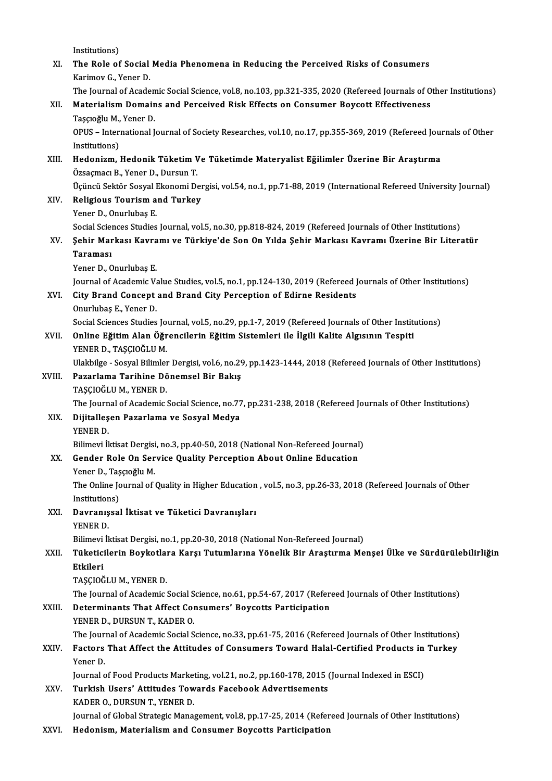Institutions) Institutions)<br>XI. The Role of Social Media Phenomena in Reducing the Perceived Risks of Consumers<br>Karimay C. Vaner D Institutions)<br>The Role of Social<br>Karimov G., Yener D.<br>The Journal of Asade The Role of Social Media Phenomena in Reducing the Perceived Risks of Consumers<br>Karimov G., Yener D.<br>The Journal of Academic Social Science, vol.8, no.103, pp.321-335, 2020 (Refereed Journals of Other Institutions)<br>Materia Karimov G., Yener D.<br>The Journal of Academic Social Science, vol.8, no.103, pp.321-335, 2020 (Refereed Journals of O<br>XII. Materialism Domains and Perceived Risk Effects on Consumer Boycott Effectiveness<br>Taşçıoğlu M., Yener The Journal of Acaden<br>Materialism Domain<br>Taşçıoğlu M., Yener D.<br>O<sup>DHS</sup>. International I Materialism Domains and Perceived Risk Effects on Consumer Boycott Effectiveness<br>Taşçıoğlu M., Yener D.<br>OPUS – International Journal of Society Researches, vol.10, no.17, pp.355-369, 2019 (Refereed Journals of Other<br>Instit Taşçıoğlu M.,<br>OPUS – Interi<br>Institutions)<br>Hedenizm OPUS – International Journal of Society Researches, vol.10, no.17, pp.355-369, 2019 (Refereed Journal Institutions)<br>Institutions)<br>XIII. Hedonizm, Hedonik Tüketim Ve Tüketimde Materyalist Eğilimler Üzerine Bir Araştırma<br>Öze Institutions)<br>H<mark>edonizm, Hedonik Tüketim V</mark><br>Özsaçmacı B., Yener D., Dursun T.<br>Ügüngü Sektör Sesvel Ekenemi D. Hedonizm, Hedonik Tüketim Ve Tüketimde Materyalist Eğilimler Üzerine Bir Araştırma<br>Özsaçmacı B., Yener D., Dursun T.<br>Üçüncü Sektör Sosyal Ekonomi Dergisi, vol.54, no.1, pp.71-88, 2019 (International Refereed University Jou Özsaçmacı B., Yener D., Dursun T.<br>Üçüncü Sektör Sosyal Ekonomi Dei<br>XIV. Religious Tourism and Turkey<br>Vener D. Opurlubes E. Üçüncü Sektör Sosyal I<br><mark>Religious Tourism a</mark><br>Yener D., Onurlubaş E.<br>Social Sciances Studies Religious Tourism and Turkey<br>Yener D., Onurlubaş E.<br>Social Sciences Studies Journal, vol.5, no.30, pp.818-824, 2019 (Refereed Journals of Other Institutions)<br>Sobir Markası Kayramı ve Türkiya'de Son On Yılda Sobir Markası K Yener D., Onurlubaş E.<br>Social Sciences Studies Journal, vol.5, no.30, pp.818-824, 2019 (Refereed Journals of Other Institutions)<br>XV. Şehir Markası Kavramı ve Türkiye'de Son On Yılda Şehir Markası Kavramı Üzerine Bir Li Social Scie<mark>l</mark><br>**Şehir Mar<br>Taraması**<br>Yoner D. G Ş<mark>ehir Markası Kavra</mark><br>Taraması<br>Yener D., Onurlubaş E.<br>Journal of Acadomia V. Taraması<br>Yener D., Onurlubaş E.<br>Journal of Academic Value Studies, vol.5, no.1, pp.124-130, 2019 (Refereed Journals of Other Institutions)<br>City Brand Concent and Brand City Beneention of Edinne Besidents Yener D., Onurlubaş E.<br>Journal of Academic Value Studies, vol.5, no.1, pp.124-130, 2019 (Refereed )<br>XVI. City Brand Concept and Brand City Perception of Edirne Residents<br>Onurlubaş E., Yener D. Journal of Academic Va<br>City Brand Concept<br>Onurlubaş E., Yener D.<br>Sesial Ssianses Studies City Brand Concept and Brand City Perception of Edirne Residents<br>Onurlubaş E., Yener D.<br>Social Sciences Studies Journal, vol.5, no.29, pp.1-7, 2019 (Refereed Journals of Other Institutions)<br>Online Eğitim Alan Öğrengilerin XVII. Online Eğitim Alan Öğrencilerin Eğitim Sistemleri ile İlgili Kalite Algısının Tespiti<br>YENER D., TAŞÇIOĞLU M. Social Sciences Studies Jo<br>Online Eğitim Alan Öğr<br>YENER D., TAŞÇIOĞLU M.<br>Ulakbilge, Sosyal Bilimler Online Eğitim Alan Öğrencilerin Eğitim Sistemleri ile İlgili Kalite Algısının Tespiti<br>YENER D., TAŞÇIOĞLU M.<br>Ulakbilge - Sosyal Bilimler Dergisi, vol.6, no.29, pp.1423-1444, 2018 (Refereed Journals of Other Institutions)<br>P XVIII. Pazarlama Tarihine Dönemsel Bir Bakış<br>TAŞÇIOĞLU M., YENER D. Ulakbilge - Sosyal Bilimler<br>Pazarlama Tarihine Dö<br>TAŞÇIOĞLU M., YENER D.<br>The Journal of Asademis i Pazarlama Tarihine Dönemsel Bir Bakış<br>TAŞÇIOĞLU M., YENER D.<br>The Journal of Academic Social Science, no.77, pp.231-238, 2018 (Refereed Journals of Other Institutions)<br>Dijitallasan Bazarlama ve Sosyal Modya XIX. Dijitalleşen Pazarlama ve Sosyal Medya<br>YENER D. The Journ<br><mark>Dijitalleş</mark><br>YENER D.<br>Bilimevi İl Dijitalleşen Pazarlama ve Sosyal Medya<br>YENER D.<br>Bilimevi İktisat Dergisi, no.3, pp.40-50, 2018 (National Non-Refereed Journal)<br>Conder Bele On Service Quality Bersentian About Online Education XX. Gender Role On Service Quality Perception About Online Education Yener D., Taşçıoğlu M. Bilimevi İktisat Dergisi<br>Gender Role On Ser<br>Yener D., Taşçıoğlu M.<br>The Online Journal of Gender Role On Service Quality Perception About Online Education<br>Yener D., Taşçıoğlu M.<br>The Online Journal of Quality in Higher Education , vol.5, no.3, pp.26-33, 2018 (Refereed Journals of Other<br>Institutione) Yener D., Taş<br>The Online Jo<br>Institutions)<br>Devreniseel The Online Journal of Quality in Higher Education<br>Institutions)<br>XXI. Davranışsal İktisat ve Tüketici Davranışları<br>VENER D Institution<br>Davranış<br>YENER D.<br>Bilimevi İl Davranışsal İktisat ve Tüketici Davranışları<br>YENER D.<br>Bilimevi İktisat Dergisi, no.1, pp.20-30, 2018 (National Non-Refereed Journal)<br>Tüketisilerin Boyketlara Karsı Tutumlarına Yönelik Bir Arastırma Me YENER D.<br>Bilimevi İktisat Dergisi, no.1, pp.20-30, 2018 (National Non-Refereed Journal)<br>XXII. Tüketicilerin Boykotlara Karşı Tutumlarına Yönelik Bir Araştırma Menşei Ülke ve Sürdürülebilirliğin<br>Rikilori Bilimevi<br><mark>Tüketici</mark><br>Etkileri<br>TASCIOČ Tüketicilerin Boykotla<mark>ı</mark><br>Etkileri<br>TAŞÇIOĞLU M., YENER D.<br>The Journal of Asademis i Etkileri<br>TAŞÇIOĞLU M., YENER D.<br>The Journal of Academic Social Science, no.61, pp.54-67, 2017 (Refereed Journals of Other Institutions)<br>Determinants That Affect Consumers' Poveatts Partisination TAŞÇIOĞLU M., YENER D.<br>The Journal of Academic Social Science, no.61, pp.54-67, 2017 (Referont XXIII.<br>XXIII. Determinants That Affect Consumers' Boycotts Participation The Journal of Academic Social S<br>Determinants That Affect Com<br>YENER D., DURSUN T., KADER O.<br>The Journal of Academic Social S Determinants That Affect Consumers' Boycotts Participation<br>YENER D., DURSUN T., KADER 0.<br>The Journal of Academic Social Science, no.33, pp.61-75, 2016 (Refereed Journals of Other Institutions)<br>Factors That Affect the Attit YENER D., DURSUN T., KADER O.<br>The Journal of Academic Social Science, no.33, pp.61-75, 2016 (Refereed Journals of Other Institutions)<br>XXIV. Factors That Affect the Attitudes of Consumers Toward Halal-Certified Products in The Jour<br>Factors<br>Yener D.<br>Journal c Factors That Affect the Attitudes of Consumers Toward Halal-Certified Products in<br>Yener D.<br>Journal of Food Products Marketing, vol.21, no.2, pp.160-178, 2015 (Journal Indexed in ESCI)<br>Turkish Heers' Attitudes Towards Easeb Yener D.<br>Journal of Food Products Marketing, vol.21, no.2, pp.160-178, 2015 (<br>XXV. Turkish Users' Attitudes Towards Facebook Advertisements<br>KADER O., DURSUN T., YENER D. Journal of Food Products Marketing, vol.21, no.2, pp.160-178, 2015 (Journal Indexed in ESCI) Journal of Global Strategic Management, vol.8, pp.17-25, 2014 (Refereed Journals of Other Institutions) XXVI. Hedonism, Materialism and Consumer Boycotts Participation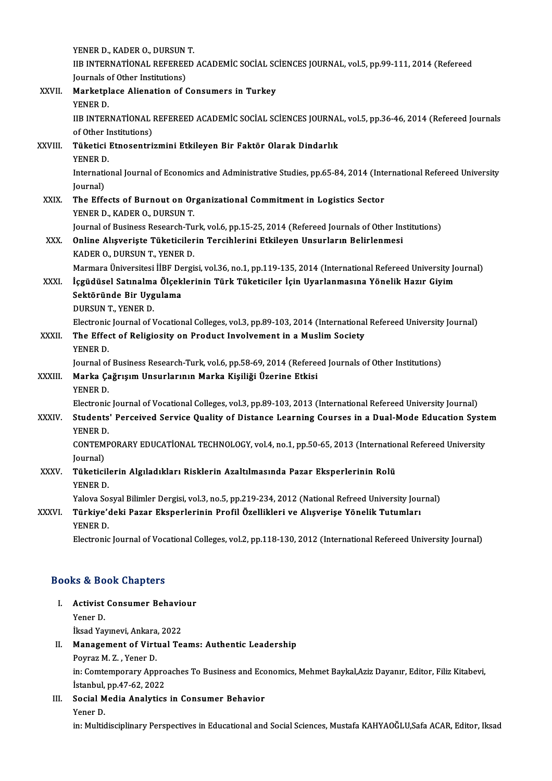|              | YENER D., KADER O., DURSUN T.                                                                                                                                   |
|--------------|-----------------------------------------------------------------------------------------------------------------------------------------------------------------|
|              | IIB INTERNATIONAL REFEREED ACADEMIC SOCIAL SCIENCES JOURNAL, vol.5, pp.99-111, 2014 (Refereed<br>Journals of Other Institutions)                                |
| XXVII.       | Marketplace Alienation of Consumers in Turkey<br>YENER D.                                                                                                       |
|              | IIB INTERNATIONAL REFEREED ACADEMIC SOCIAL SCIENCES JOURNAL, vol.5, pp.36-46, 2014 (Refereed Journals<br>of Other Institutions)                                 |
| XXVIII.      | Tüketici Etnosentrizmini Etkileyen Bir Faktör Olarak Dindarlık<br>YENER D.                                                                                      |
|              | International Journal of Economics and Administrative Studies, pp.65-84, 2014 (International Refereed University<br>Journal)                                    |
| XXIX.        | The Effects of Burnout on Organizational Commitment in Logistics Sector<br>YENER D., KADER O., DURSUN T.                                                        |
|              | Journal of Business Research-Turk, vol.6, pp.15-25, 2014 (Refereed Journals of Other Institutions)                                                              |
| XXX.         | Online Alışverişte Tüketicilerin Tercihlerini Etkileyen Unsurların Belirlenmesi                                                                                 |
|              | KADER O., DURSUN T., YENER D.                                                                                                                                   |
|              | Marmara Üniversitesi İİBF Dergisi, vol.36, no.1, pp.119-135, 2014 (International Refereed University Journal)                                                   |
| XXXI.        | İçgüdüsel Satınalma Ölçeklerinin Türk Tüketiciler İçin Uyarlanmasına Yönelik Hazır Giyim<br>Sektöründe Bir Uygulama                                             |
|              | DURSUN T., YENER D.                                                                                                                                             |
|              | Electronic Journal of Vocational Colleges, vol.3, pp.89-103, 2014 (International Refereed University Journal)                                                   |
| XXXII.       | The Effect of Religiosity on Product Involvement in a Muslim Society                                                                                            |
|              | YENER D.                                                                                                                                                        |
| XXXIII.      | Journal of Business Research-Turk, vol.6, pp.58-69, 2014 (Refereed Journals of Other Institutions)<br>Marka Çağrışım Unsurlarının Marka Kişiliği Üzerine Etkisi |
|              | YENER D.                                                                                                                                                        |
|              | Electronic Journal of Vocational Colleges, vol.3, pp.89-103, 2013 (International Refereed University Journal)                                                   |
| <b>XXXIV</b> | Students' Perceived Service Quality of Distance Learning Courses in a Dual-Mode Education System<br>YENER D.                                                    |
|              | CONTEMPORARY EDUCATIONAL TECHNOLOGY, vol.4, no.1, pp.50-65, 2013 (International Refereed University<br>Journal)                                                 |
| <b>XXXV</b>  | Tüketicilerin Algıladıkları Risklerin Azaltılmasında Pazar Eksperlerinin Rolü                                                                                   |
|              | YENER D.                                                                                                                                                        |
|              | Yalova Sosyal Bilimler Dergisi, vol.3, no.5, pp.219-234, 2012 (National Refreed University Journal)                                                             |
| XXXVI.       | Türkiye'deki Pazar Eksperlerinin Profil Özellikleri ve Alışverişe Yönelik Tutumları<br>YENER D.                                                                 |
|              | Electronic Journal of Vocational Colleges, vol.2, pp.118-130, 2012 (International Refereed University Journal)                                                  |
|              |                                                                                                                                                                 |

#### Books&Book Chapters

## ooks & Book Chapters<br>I. Activist Consumer Behaviour<br>Vener D Activist<br>Activist<br>Yener D. Activist Consumer Behavio<br>Yener D.<br>İksad Yayınevi, Ankara, 2022<br>Managamant of Virtual Ta

## Yener D.<br>İksad Yayınevi, Ankara, 2022<br>II. Management of Virtual Teams: Authentic Leadership<br>Peymer M. Z. Yener D. İksad Yayınevi, Ankara<br>**Management of Virt**<br>Poyraz M. Z. , Yener D.<br>in: Comtemperary App

Management of Virtual Teams: Authentic Leadership<br>Poyraz M. Z. , Yener D.<br>in: Comtemporary Approaches To Business and Economics, Mehmet Baykal,Aziz Dayanır, Editor, Filiz Kitabevi,<br>İstanbul np.47.63.2022 Poyraz M. Z. , Yener D.<br>in: Comtemporary Appro<br>İstanbul, pp.47-62, 2022<br>Secial Modia Analytica in: Comtemporary Approaches To Business and Eco<br>Istanbul, pp.47-62, 2022<br>III. Social Media Analytics in Consumer Behavior<br>Venes D

İstanbul,<br>S<mark>ocial M</mark><br>Yener D.<br>in: Multic

Yener D.<br>in: Multidisciplinary Perspectives in Educational and Social Sciences, Mustafa KAHYAOĞLU,Safa ACAR, Editor, Iksad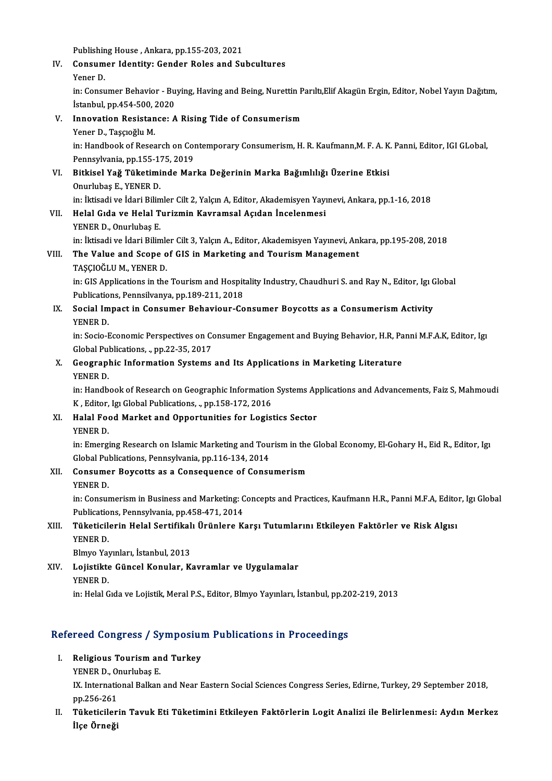Publishing House, Ankara, pp.155-203, 2021

Publishing House , Ankara, pp.155-203, 2021<br>IV. Consumer Identity: Gender Roles and Subcultures<br>Vener D Publishin<br>Consum<br>Yener D.<br>in: Consu

Consumer Identity: Gender Roles and Subcultures<br>Yener D.<br>in: Consumer Behavior - Buying, Having and Being, Nurettin Parıltı,Elif Akagün Ergin, Editor, Nobel Yayın Dağıtım, Yener D.<br>in: Consumer Behavior - Bu<br>İstanbul, pp.454-500, 2020<br>Innovation Besistansey A İstanbul, pp.454-500, 2020

V. Innovation Resistance: A Rising Tide of Consumerism Innovation Resistance: A Rising Tide of Consumerism<br>Yener D., Taşçıoğlu M.<br>in: Handbook of Research on Contemporary Consumerism, H. R. Kaufmann,M. F. A. K. Panni, Editor, IGI GLobal,<br>Pennsylvania, pp.155,175,2019 Yener D., Taşçıoğlu M.<br>in: Handbook of Research on Cor<br>Pennsylvania, pp.155-175, 2019<br>Bitkisel Yeğ Tüketiminde Mer in: Handbook of Research on Contemporary Consumerism, H. R. Kaufmann,M. F. A. K<br>Pennsylvania, pp.155-175, 2019<br>VI. Bitkisel Yağ Tüketiminde Marka Değerinin Marka Bağımlılığı Üzerine Etkisi<br>Onurlubes E. YENEP D Pennsylvania, pp.155-1<mark>)</mark><br>Bitkisel Yağ Tüketimi<br>Onurlubaş E., YENER D.<br>in: İktisadi ve İdari Bilim Bitkisel Yağ Tüketiminde Marka Değerinin Marka Bağımlılığı Üzerine Etkisi<br>Onurlubaş E., YENER D.<br>in: İktisadi ve İdari Bilimler Cilt 2, Yalçın A, Editor, Akademisyen Yayınevi, Ankara, pp.1-16, 2018<br>Helel Cide ve Helel Tuni

Onurlubaş E., YENER D.<br>in: İktisadi ve İdari Bilimler Cilt 2, Yalçın A, Editor, Akademisyen Yayı<br>VII. Helal Gıda ve Helal Turizmin Kavramsal Açıdan İncelenmesi<br>VENER D. Onurlubes E in: İktisadi ve İdari Bilin<br>Helal Gıda ve Helal T<br>YENER D., Onurlubaş E.<br>in: İktisadi ve İdari Bilin YENER D., Onurlubaş E.<br>in: İktisadi ve İdari Bilimler Cilt 3, Yalçın A., Editor, Akademisyen Yayınevi, Ankara, pp.195-208, 2018 YENER D., Onurlubaş E.<br>in: İktisadi ve İdari Bilimler Cilt 3, Yalçın A., Editor, Akademisyen Yayınevi, Anl<br>VIII. The Value and Scope of GIS in Marketing and Tourism Management<br>TASCIOČLUM, YENER D.

# in: İktisadi ve İdari Bilimle<br>The Value and Scope o<br>TAŞÇIOĞLU M., YENER D.<br>in: CIS Applications in the

TAŞÇIOĞLU M., YENER D.<br>in: GIS Applications in the Tourism and Hospitality Industry, Chaudhuri S. and Ray N., Editor, Igı Global TAŞÇIOĞLU M., YENER D.<br>in: GIS Applications in the Tourism and Hospit<br>Publications, Pennsilvanya, pp.189-211, 2018<br>Segial Impest in Consumer Behaviour Co

IX. Social Impact in Consumer Behaviour-Consumer Boycotts as a Consumerism Activity YENER D. Publicatio<br>Social Im<br>YENER D.<br>in:Socio I

in: Socio-Economic Perspectives on Consumer Engagement and Buying Behavior, H.R, Panni M.F.A.K, Editor, Igi YENER D.<br>in: Socio-Economic Perspectives on Co<br>Global Publications, ., pp.22-35, 2017<br>Coographic Information Systems

X. Geographic Information Systems and Its Applications in Marketing Literature YENER D. Global Pul<br>Geograpl<br>YENER D.<br>in:Handh

Geographic Information Systems and Its Applications in Marketing Literature<br>YENER D.<br>in: Handbook of Research on Geographic Information Systems Applications and Advancements, Faiz S, Mahmoudi<br>K. Editor Im Clobal Bublicatio YENER D.<br>in: Handbook of Research on Geographic Information<br>K , Editor, Igı Global Publications, ., pp.158-172, 2016<br>Halal Food Market and Onnortunities for Logia K, Editor, Igi Global Publications, ., pp.158-172, 2016

XI. Halal Food Market and Opportunities for Logistics Sector

Halal Food Market and Opportunities for Logistics Sector<br>YENER D.<br>in: Emerging Research on Islamic Marketing and Tourism in the Global Economy, El-Gohary H., Eid R., Editor, Igi<br>Clobal Publications, Pennavivania, np.116,13 YENER D.<br>in: Emerging Research on Islamic Marketing and Tou:<br>Global Publications, Pennsylvania, pp.116-134, 2014<br>Consumer Boysetts es a Conseguence of Consy in: Emerging Research on Islamic Marketing and Tourism in the<br>Global Publications, Pennsylvania, pp.116-134, 2014<br>XII. Consumer Boycotts as a Consequence of Consumerism<br>VENER D

Global Pul<br>Consume<br>YENER D.<br>in:Consul

Consumer Boycotts as a Consequence of Consumerism<br>YENER D.<br>in: Consumerism in Business and Marketing: Concepts and Practices, Kaufmann H.R., Panni M.F.A, Editor, Igı Global YENER D.<br>in: Consumerism in Business and Marketing: C<br>Publications, Pennsylvania, pp.458-471, 2014<br>Tükotisilerin Helel Sertifikel: Ürünlene K Publications, Pennsylvania, pp.458-471, 2014

### XIII. Tüketicilerin Helal Sertifikalı Ürünlere Karşı Tutumlarını Etkileyen Faktörler ve Risk Algısı<br>YENER D. Tüketicilerin Helal Sertifikal<br>YENER D.<br>Blmyo Yayınları, İstanbul, 2013<br>Lojistikte Cüncel Konular, K

XIV. Lojistikte Güncel Konular, Kavramlar ve Uygulamalar Blmyo Yay<br>Lojistikte<br>YENER D.<br>in:Holal C

in: Helal Gıda ve Lojistik, Meral P.S., Editor, Blmyo Yayınları, İstanbul, pp.202-219, 2013

## m: нем сма ve Lojisuk, мегат P.S., Editor, Bimyo Yayınları, İstanbul, pp.2t<br>Refereed Congress / Symposium Publications in Proceedings efereed Congress / Symposiul<br>I. Religious Tourism and Turkey<br>VENER D. Opurhibes E

- I. Religious Tourism and Turkey<br>YENER D., Onurlubas E.
	-

Religious Tourism and Turkey<br>YENER D., Onurlubaş E.<br>IX. International Balkan and Near Eastern Social Sciences Congress Series, Edirne, Turkey, 29 September 2018,<br>nn 256, 261 YENER D., O<mark>l</mark><br>IX. Internatio<br>pp.256-261<br>Tükatioilar

pp.256-261<br>II. Tüketicilerin Tavuk Eti Tüketimini Etkileyen Faktörlerin Logit Analizi ile Belirlenmesi: Aydın Merkez İlçe Örneği